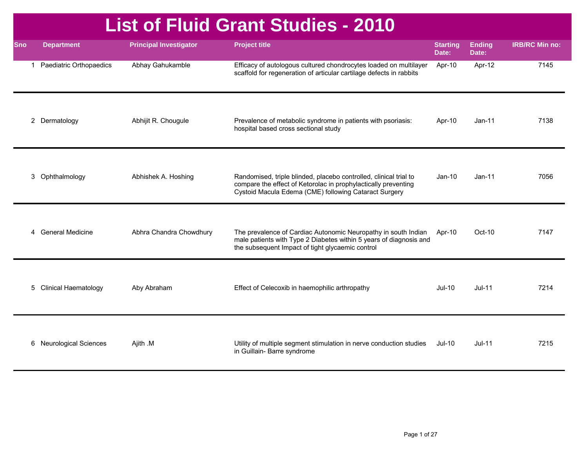## **List of Fluid Grant Studies - 2010**

| <b>Sno</b> | <b>Department</b>           | <b>Principal Investigator</b> | <b>Project title</b>                                                                                                                                                                         | <b>Starting</b><br>Date: | <b>Ending</b><br>Date: | <b>IRB/RC Min no:</b> |
|------------|-----------------------------|-------------------------------|----------------------------------------------------------------------------------------------------------------------------------------------------------------------------------------------|--------------------------|------------------------|-----------------------|
|            | 1 Paediatric Orthopaedics   | Abhay Gahukamble              | Efficacy of autologous cultured chondrocytes loaded on multilayer<br>scaffold for regeneration of articular cartilage defects in rabbits                                                     | Apr-10                   | Apr-12                 | 7145                  |
|            | 2 Dermatology               | Abhijit R. Chougule           | Prevalence of metabolic syndrome in patients with psoriasis:<br>hospital based cross sectional study                                                                                         | Apr-10                   | $Jan-11$               | 7138                  |
|            | 3 Ophthalmology             | Abhishek A. Hoshing           | Randomised, triple blinded, placebo controlled, clinical trial to<br>compare the effect of Ketorolac in prophylactically preventing<br>Cystoid Macula Edema (CME) following Cataract Surgery | $Jan-10$                 | $Jan-11$               | 7056                  |
|            | 4 General Medicine          | Abhra Chandra Chowdhury       | The prevalence of Cardiac Autonomic Neuropathy in south Indian<br>male patients with Type 2 Diabetes within 5 years of diagnosis and<br>the subsequent Impact of tight glycaemic control     | Apr-10                   | $Oct-10$               | 7147                  |
| 5          | <b>Clinical Haematology</b> | Aby Abraham                   | Effect of Celecoxib in haemophilic arthropathy                                                                                                                                               | $Jul-10$                 | $Jul-11$               | 7214                  |
|            | 6 Neurological Sciences     | Ajith .M                      | Utility of multiple segment stimulation in nerve conduction studies<br>in Guillain- Barre syndrome                                                                                           | <b>Jul-10</b>            | $Jul-11$               | 7215                  |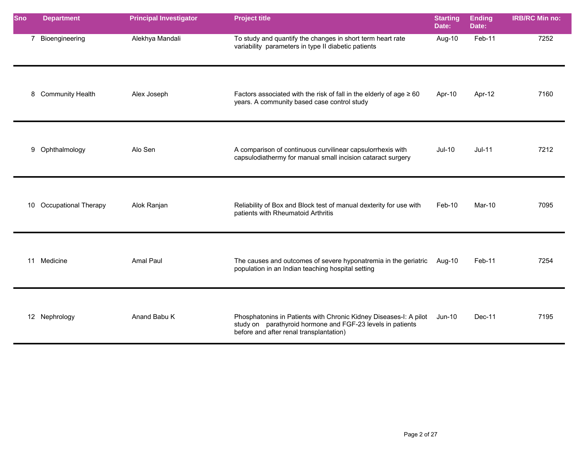| <b>Sno</b> | <b>Department</b>       | <b>Principal Investigator</b> | <b>Project title</b>                                                                                                                                                       | <b>Starting</b><br>Date: | <b>Ending</b><br>Date: | <b>IRB/RC Min no:</b> |
|------------|-------------------------|-------------------------------|----------------------------------------------------------------------------------------------------------------------------------------------------------------------------|--------------------------|------------------------|-----------------------|
|            | 7 Bioengineering        | Alekhya Mandali               | To study and quantify the changes in short term heart rate<br>variability parameters in type II diabetic patients                                                          | Aug-10                   | Feb-11                 | 7252                  |
|            | 8 Community Health      | Alex Joseph                   | Factors associated with the risk of fall in the elderly of age $\geq 60$<br>years. A community based case control study                                                    | Apr-10                   | Apr-12                 | 7160                  |
|            | 9 Ophthalmology         | Alo Sen                       | A comparison of continuous curvilinear capsulorrhexis with<br>capsulodiathermy for manual small incision cataract surgery                                                  | $Jul-10$                 | $Jul-11$               | 7212                  |
|            | 10 Occupational Therapy | Alok Ranjan                   | Reliability of Box and Block test of manual dexterity for use with<br>patients with Rheumatoid Arthritis                                                                   | Feb-10                   | Mar-10                 | 7095                  |
|            | 11 Medicine             | Amal Paul                     | The causes and outcomes of severe hyponatremia in the geriatric<br>population in an Indian teaching hospital setting                                                       | Aug-10                   | Feb-11                 | 7254                  |
|            | 12 Nephrology           | Anand Babu K                  | Phosphatonins in Patients with Chronic Kidney Diseases-I: A pilot<br>study on parathyroid hormone and FGF-23 levels in patients<br>before and after renal transplantation) | $Jun-10$                 | $Dec-11$               | 7195                  |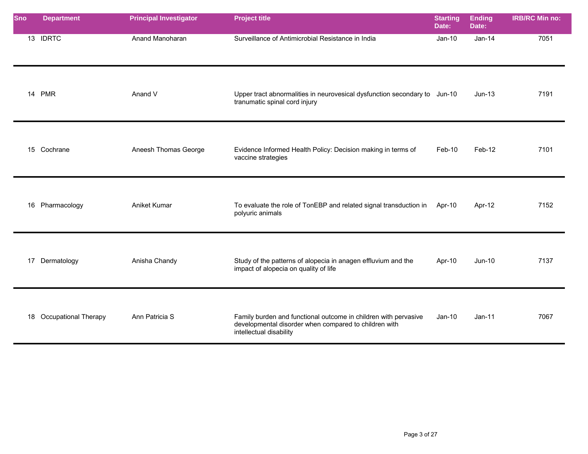| Sno | <b>Department</b>       | <b>Principal Investigator</b> | <b>Project title</b>                                                                                                                                | <b>Starting</b><br>Date: | <b>Ending</b><br>Date: | <b>IRB/RC Min no:</b> |
|-----|-------------------------|-------------------------------|-----------------------------------------------------------------------------------------------------------------------------------------------------|--------------------------|------------------------|-----------------------|
|     | 13 IDRTC                | Anand Manoharan               | Surveillance of Antimicrobial Resistance in India                                                                                                   | $Jan-10$                 | $Jan-14$               | 7051                  |
|     | 14 PMR                  | Anand V                       | Upper tract abnormalities in neurovesical dysfunction secondary to Jun-10<br>tranumatic spinal cord injury                                          |                          | $Jun-13$               | 7191                  |
|     | 15 Cochrane             | Aneesh Thomas George          | Evidence Informed Health Policy: Decision making in terms of<br>vaccine strategies                                                                  | Feb-10                   | Feb-12                 | 7101                  |
|     | 16 Pharmacology         | Aniket Kumar                  | To evaluate the role of TonEBP and related signal transduction in<br>polyuric animals                                                               | Apr-10                   | Apr-12                 | 7152                  |
|     | 17 Dermatology          | Anisha Chandy                 | Study of the patterns of alopecia in anagen effluvium and the<br>impact of alopecia on quality of life                                              | Apr-10                   | $Jun-10$               | 7137                  |
|     | 18 Occupational Therapy | Ann Patricia S                | Family burden and functional outcome in children with pervasive<br>developmental disorder when compared to children with<br>intellectual disability | $Jan-10$                 | $Jan-11$               | 7067                  |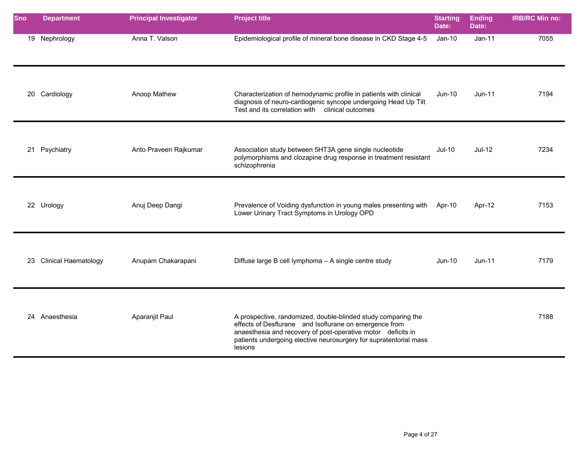| <b>Sno</b> | <b>Department</b>       | <b>Principal Investigator</b> | <b>Project title</b>                                                                                                                                                                                                                                                    | <b>Starting</b><br>Date: | <b>Ending</b><br>Date: | <b>IRB/RC Min no:</b> |
|------------|-------------------------|-------------------------------|-------------------------------------------------------------------------------------------------------------------------------------------------------------------------------------------------------------------------------------------------------------------------|--------------------------|------------------------|-----------------------|
|            | 19 Nephrology           | Anna T. Valson                | Epidemiological profile of mineral bone disease in CKD Stage 4-5                                                                                                                                                                                                        | $Jan-10$                 | $Jan-11$               | 7055                  |
|            | 20 Cardiology           | Anoop Mathew                  | Characterization of hemodynamic profile in patients with clinical<br>diagnosis of neuro-cardiogenic syncope undergoing Head Up Tilt<br>Test and its correlation with clinical outcomes                                                                                  | Jun-10                   | $Jun-11$               | 7194                  |
| 21         | Psychiatry              | Anto Praveen Rajkumar         | Association study between 5HT3A gene single nucleotide<br>polymorphisms and clozapine drug response in treatment resistant<br>schizophrenia                                                                                                                             | <b>Jul-10</b>            | $Jul-12$               | 7234                  |
|            | 22 Urology              | Anuj Deep Dangi               | Prevalence of Voiding dysfunction in young males presenting with<br>Lower Urinary Tract Symptoms in Urology OPD                                                                                                                                                         | Apr-10                   | Apr-12                 | 7153                  |
|            | 23 Clinical Haematology | Anupam Chakarapani            | Diffuse large B cell lymphoma - A single centre study                                                                                                                                                                                                                   | $Jun-10$                 | $Jun-11$               | 7179                  |
|            | 24 Anaesthesia          | Aparanjit Paul                | A prospective, randomized, double-blinded study comparing the<br>effects of Desflurane and Isoflurane on emergence from<br>anaesthesia and recovery of post-operative motor deficits in<br>patients undergoing elective neurosurgery for supratentorial mass<br>lesions |                          |                        | 7188                  |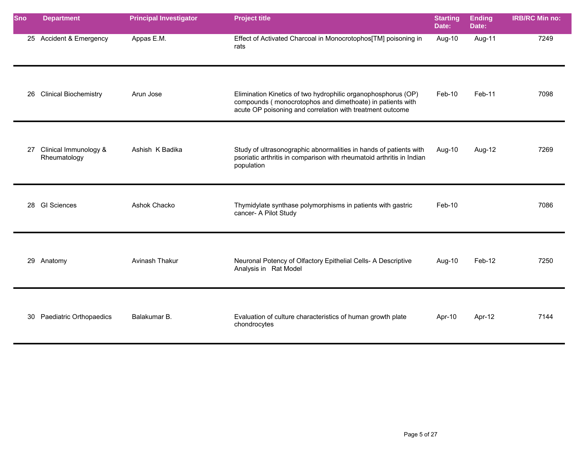| <b>Sno</b> | <b>Department</b>                     | <b>Principal Investigator</b> | <b>Project title</b>                                                                                                                                                                    | <b>Starting</b><br>Date: | <b>Ending</b><br>Date: | <b>IRB/RC Min no:</b> |
|------------|---------------------------------------|-------------------------------|-----------------------------------------------------------------------------------------------------------------------------------------------------------------------------------------|--------------------------|------------------------|-----------------------|
|            | 25 Accident & Emergency               | Appas E.M.                    | Effect of Activated Charcoal in Monocrotophos[TM] poisoning in<br>rats                                                                                                                  | Aug-10                   | Aug-11                 | 7249                  |
| 26         | <b>Clinical Biochemistry</b>          | Arun Jose                     | Elimination Kinetics of two hydrophilic organophosphorus (OP)<br>compounds (monocrotophos and dimethoate) in patients with<br>acute OP poisoning and correlation with treatment outcome | Feb-10                   | Feb-11                 | 7098                  |
| 27         | Clinical Immunology &<br>Rheumatology | Ashish K Badika               | Study of ultrasonographic abnormalities in hands of patients with<br>psoriatic arthritis in comparison with rheumatoid arthritis in Indian<br>population                                | Aug-10                   | Aug-12                 | 7269                  |
| 28         | <b>GI Sciences</b>                    | Ashok Chacko                  | Thymidylate synthase polymorphisms in patients with gastric<br>cancer- A Pilot Study                                                                                                    | Feb-10                   |                        | 7086                  |
|            | 29 Anatomy                            | Avinash Thakur                | Neuronal Potency of Olfactory Epithelial Cells- A Descriptive<br>Analysis in Rat Model                                                                                                  | Aug-10                   | Feb-12                 | 7250                  |
| 30         | Paediatric Orthopaedics               | Balakumar B.                  | Evaluation of culture characteristics of human growth plate<br>chondrocytes                                                                                                             | Apr-10                   | Apr-12                 | 7144                  |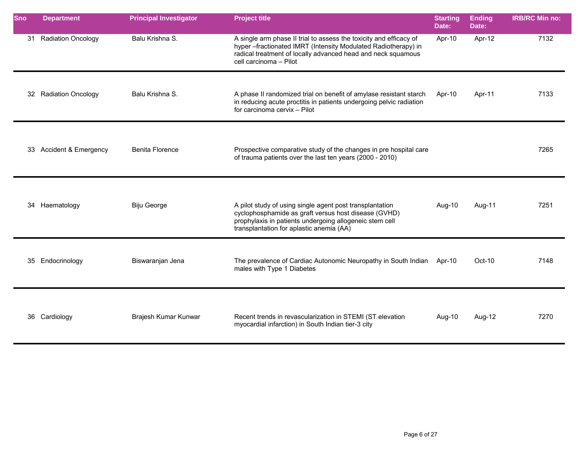| <b>Sno</b> | <b>Department</b>       | <b>Principal Investigator</b> | <b>Project title</b>                                                                                                                                                                                                          | <b>Starting</b><br>Date: | <b>Ending</b><br>Date: | <b>IRB/RC Min no:</b> |
|------------|-------------------------|-------------------------------|-------------------------------------------------------------------------------------------------------------------------------------------------------------------------------------------------------------------------------|--------------------------|------------------------|-----------------------|
|            | 31 Radiation Oncology   | Balu Krishna S.               | A single arm phase II trial to assess the toxicity and efficacy of<br>hyper-fractionated IMRT (Intensity Modulated Radiotherapy) in<br>radical treatment of locally advanced head and neck squamous<br>cell carcinoma - Pilot | Apr-10                   | Apr-12                 | 7132                  |
|            | 32 Radiation Oncology   | Balu Krishna S.               | A phase II randomized trial on benefit of amylase resistant starch<br>in reducing acute proctitis in patients undergoing pelvic radiation<br>for carcinoma cervix - Pilot                                                     | Apr-10                   | Apr-11                 | 7133                  |
|            | 33 Accident & Emergency | <b>Benita Florence</b>        | Prospective comparative study of the changes in pre hospital care<br>of trauma patients over the last ten years (2000 - 2010)                                                                                                 |                          |                        | 7265                  |
|            | 34 Haematology          | <b>Biju George</b>            | A pilot study of using single agent post transplantation<br>cyclophosphamide as graft versus host disease (GVHD)<br>prophylaxis in patients undergoing allogeneic stem cell<br>transplantation for aplastic anemia (AA)       | Aug-10                   | Aug-11                 | 7251                  |
|            | 35 Endocrinology        | Biswaranjan Jena              | The prevalence of Cardiac Autonomic Neuropathy in South Indian Apr-10<br>males with Type 1 Diabetes                                                                                                                           |                          | Oct-10                 | 7148                  |
|            | 36 Cardiology           | Brajesh Kumar Kunwar          | Recent trends in revascularization in STEMI (ST elevation<br>myocardial infarction) in South Indian tier-3 city                                                                                                               | Aug-10                   | Aug-12                 | 7270                  |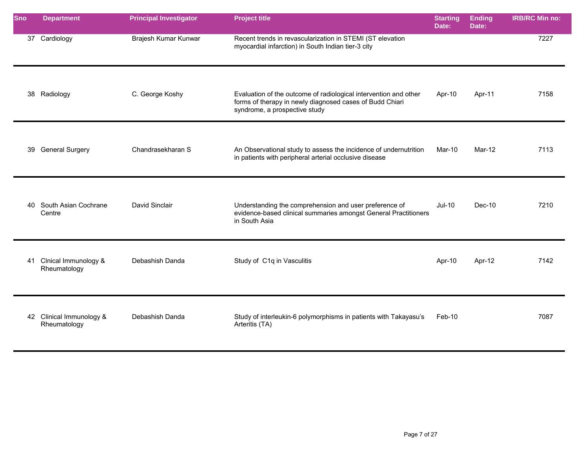| <b>Sno</b> | <b>Department</b>                        | <b>Principal Investigator</b> | <b>Project title</b>                                                                                                                                          | <b>Starting</b><br>Date: | <b>Ending</b><br>Date: | <b>IRB/RC Min no:</b> |
|------------|------------------------------------------|-------------------------------|---------------------------------------------------------------------------------------------------------------------------------------------------------------|--------------------------|------------------------|-----------------------|
|            | 37 Cardiology                            | Brajesh Kumar Kunwar          | Recent trends in revascularization in STEMI (ST elevation<br>myocardial infarction) in South Indian tier-3 city                                               |                          |                        | 7227                  |
|            | 38 Radiology                             | C. George Koshy               | Evaluation of the outcome of radiological intervention and other<br>forms of therapy in newly diagnosed cases of Budd Chiari<br>syndrome, a prospective study | Apr-10                   | Apr-11                 | 7158                  |
|            | 39 General Surgery                       | Chandrasekharan S             | An Observational study to assess the incidence of undernutrition<br>in patients with peripheral arterial occlusive disease                                    | Mar-10                   | Mar-12                 | 7113                  |
|            | 40 South Asian Cochrane<br>Centre        | David Sinclair                | Understanding the comprehension and user preference of<br>evidence-based clinical summaries amongst General Practitioners<br>in South Asia                    | $Jul-10$                 | Dec-10                 | 7210                  |
| 41         | Clnical Immunology &<br>Rheumatology     | Debashish Danda               | Study of C1q in Vasculitis                                                                                                                                    | Apr-10                   | Apr-12                 | 7142                  |
|            | 42 Clinical Immunology &<br>Rheumatology | Debashish Danda               | Study of interleukin-6 polymorphisms in patients with Takayasu's<br>Arteritis (TA)                                                                            | Feb-10                   |                        | 7087                  |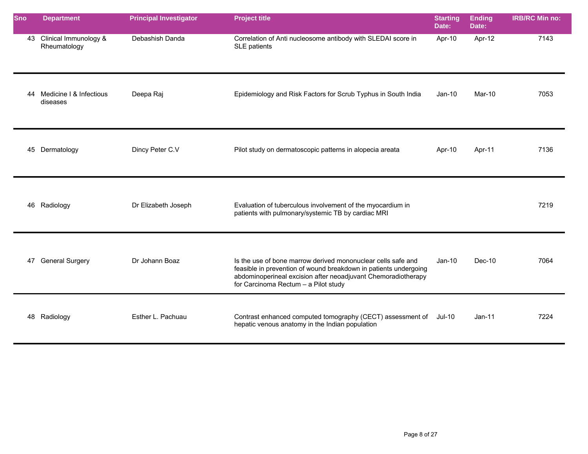| <b>Sno</b> | <b>Department</b>                        | <b>Principal Investigator</b> | <b>Project title</b>                                                                                                                                                                                                                      | <b>Starting</b><br>Date: | <b>Ending</b><br>Date: | <b>IRB/RC Min no:</b> |
|------------|------------------------------------------|-------------------------------|-------------------------------------------------------------------------------------------------------------------------------------------------------------------------------------------------------------------------------------------|--------------------------|------------------------|-----------------------|
|            | 43 Clinical Immunology &<br>Rheumatology | Debashish Danda               | Correlation of Anti nucleosome antibody with SLEDAI score in<br>SLE patients                                                                                                                                                              | Apr-10                   | Apr-12                 | 7143                  |
| 44         | Medicine I & Infectious<br>diseases      | Deepa Raj                     | Epidemiology and Risk Factors for Scrub Typhus in South India                                                                                                                                                                             | $Jan-10$                 | Mar-10                 | 7053                  |
|            | 45 Dermatology                           | Dincy Peter C.V               | Pilot study on dermatoscopic patterns in alopecia areata                                                                                                                                                                                  | Apr-10                   | Apr-11                 | 7136                  |
|            | 46 Radiology                             | Dr Elizabeth Joseph           | Evaluation of tuberculous involvement of the myocardium in<br>patients with pulmonary/systemic TB by cardiac MRI                                                                                                                          |                          |                        | 7219                  |
|            | 47 General Surgery                       | Dr Johann Boaz                | Is the use of bone marrow derived mononuclear cells safe and<br>feasible in prevention of wound breakdown in patients undergoing<br>abdominoperineal excision after neoadjuvant Chemoradiotherapy<br>for Carcinoma Rectum - a Pilot study | $Jan-10$                 | Dec-10                 | 7064                  |
|            | 48 Radiology                             | Esther L. Pachuau             | Contrast enhanced computed tomography (CECT) assessment of<br>hepatic venous anatomy in the Indian population                                                                                                                             | Jul-10                   | $Jan-11$               | 7224                  |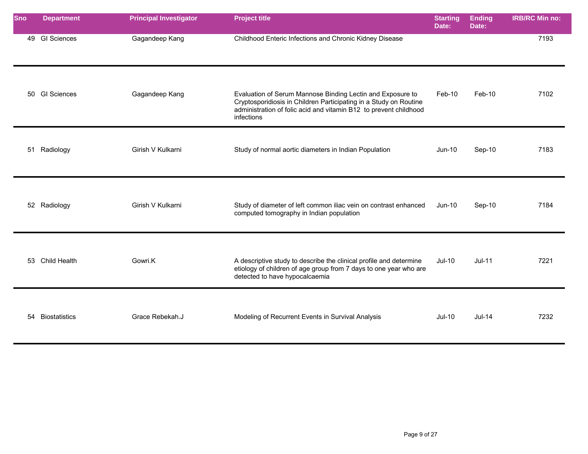| <b>Sno</b> | <b>Department</b>    | <b>Principal Investigator</b> | <b>Project title</b>                                                                                                                                                                                               | <b>Starting</b><br>Date: | <b>Ending</b><br>Date: | <b>IRB/RC Min no:</b> |
|------------|----------------------|-------------------------------|--------------------------------------------------------------------------------------------------------------------------------------------------------------------------------------------------------------------|--------------------------|------------------------|-----------------------|
|            | 49 GI Sciences       | Gagandeep Kang                | Childhood Enteric Infections and Chronic Kidney Disease                                                                                                                                                            |                          |                        | 7193                  |
|            | 50 GI Sciences       | Gagandeep Kang                | Evaluation of Serum Mannose Binding Lectin and Exposure to<br>Cryptosporidiosis in Children Participating in a Study on Routine<br>administration of folic acid and vitamin B12 to prevent childhood<br>infections | Feb-10                   | Feb-10                 | 7102                  |
|            | 51 Radiology         | Girish V Kulkarni             | Study of normal aortic diameters in Indian Population                                                                                                                                                              | $Jun-10$                 | Sep-10                 | 7183                  |
|            | 52 Radiology         | Girish V Kulkarni             | Study of diameter of left common iliac vein on contrast enhanced<br>computed tomography in Indian population                                                                                                       | Jun-10                   | Sep-10                 | 7184                  |
|            | 53 Child Health      | Gowri.K                       | A descriptive study to describe the clinical profile and determine<br>etiology of children of age group from 7 days to one year who are<br>detected to have hypocalcaemia                                          | $Jul-10$                 | $Jul-11$               | 7221                  |
| 54         | <b>Biostatistics</b> | Grace Rebekah.J               | Modeling of Recurrent Events in Survival Analysis                                                                                                                                                                  | $Jul-10$                 | $Jul-14$               | 7232                  |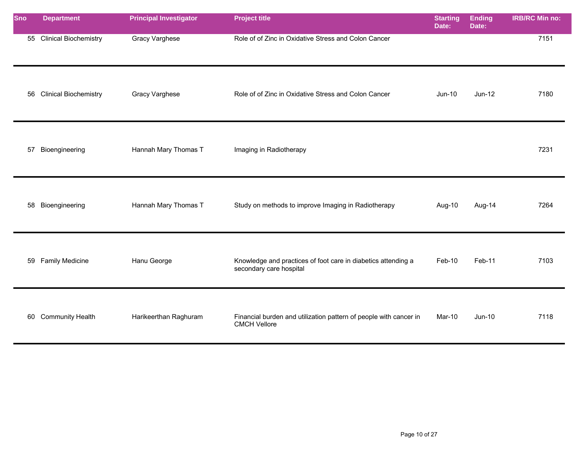| <b>Sno</b> | <b>Department</b>            | <b>Principal Investigator</b> | <b>Project title</b>                                                                     | <b>Starting</b><br>Date: | <b>Ending</b><br>Date: | <b>IRB/RC Min no:</b> |
|------------|------------------------------|-------------------------------|------------------------------------------------------------------------------------------|--------------------------|------------------------|-----------------------|
|            | 55 Clinical Biochemistry     | Gracy Varghese                | Role of of Zinc in Oxidative Stress and Colon Cancer                                     |                          |                        | 7151                  |
| 56         | <b>Clinical Biochemistry</b> | Gracy Varghese                | Role of of Zinc in Oxidative Stress and Colon Cancer                                     | <b>Jun-10</b>            | $Jun-12$               | 7180                  |
| 57         | Bioengineering               | Hannah Mary Thomas T          | Imaging in Radiotherapy                                                                  |                          |                        | 7231                  |
|            | 58 Bioengineering            | Hannah Mary Thomas T          | Study on methods to improve Imaging in Radiotherapy                                      | Aug-10                   | Aug-14                 | 7264                  |
| 59         | <b>Family Medicine</b>       | Hanu George                   | Knowledge and practices of foot care in diabetics attending a<br>secondary care hospital | Feb-10                   | Feb-11                 | 7103                  |
|            | 60 Community Health          | Harikeerthan Raghuram         | Financial burden and utilization pattern of people with cancer in<br><b>CMCH Vellore</b> | Mar-10                   | Jun-10                 | 7118                  |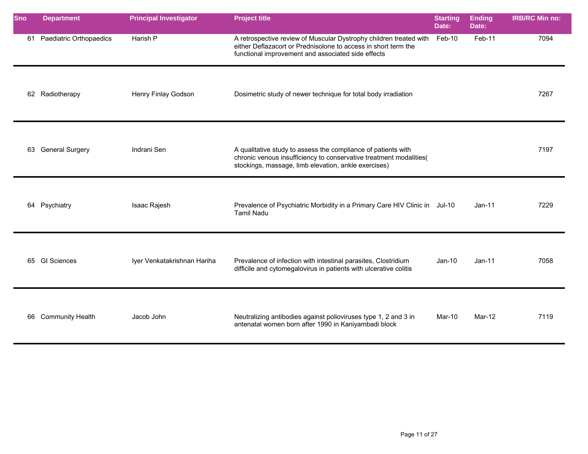| <b>Sno</b> | <b>Department</b>       | <b>Principal Investigator</b> | <b>Project title</b>                                                                                                                                                                        | <b>Starting</b><br>Date: | <b>Ending</b><br>Date: | <b>IRB/RC Min no:</b> |
|------------|-------------------------|-------------------------------|---------------------------------------------------------------------------------------------------------------------------------------------------------------------------------------------|--------------------------|------------------------|-----------------------|
| 61         | Paediatric Orthopaedics | Harish P                      | A retrospective review of Muscular Dystrophy children treated with<br>either Deflazacort or Prednisolone to access in short term the<br>functional improvement and associated side effects  | Feb-10                   | Feb-11                 | 7094                  |
|            | 62 Radiotherapy         | Henry Finlay Godson           | Dosimetric study of newer technique for total body irradiation                                                                                                                              |                          |                        | 7267                  |
|            | 63 General Surgery      | Indrani Sen                   | A qualitative study to assess the compliance of patients with<br>chronic venous insufficiency to conservative treatment modalities(<br>stockings, massage, limb elevation, ankle exercises) |                          |                        | 7197                  |
|            | 64 Psychiatry           | Isaac Rajesh                  | Prevalence of Psychiatric Morbidity in a Primary Care HIV Clinic in Jul-10<br><b>Tamil Nadu</b>                                                                                             |                          | $Jan-11$               | 7229                  |
|            | 65 GI Sciences          | Iyer Venkatakrishnan Hariha   | Prevalence of infection with intestinal parasites, Clostridium<br>difficile and cytomegalovirus in patients with ulcerative colitis                                                         | $Jan-10$                 | $Jan-11$               | 7058                  |
|            | 66 Community Health     | Jacob John                    | Neutralizing antibodies against polioviruses type 1, 2 and 3 in<br>antenatal women born after 1990 in Kaniyambadi block                                                                     | Mar-10                   | Mar-12                 | 7119                  |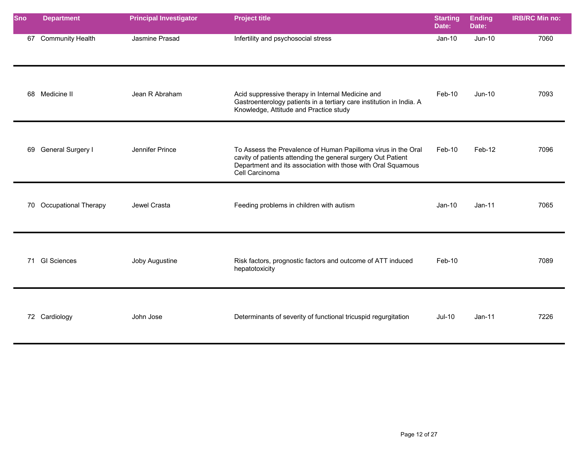| <b>Sno</b> | <b>Department</b>       | <b>Principal Investigator</b> | <b>Project title</b>                                                                                                                                                                                            | <b>Starting</b><br>Date: | <b>Ending</b><br>Date: | <b>IRB/RC Min no:</b> |
|------------|-------------------------|-------------------------------|-----------------------------------------------------------------------------------------------------------------------------------------------------------------------------------------------------------------|--------------------------|------------------------|-----------------------|
|            | 67 Community Health     | Jasmine Prasad                | Infertility and psychosocial stress                                                                                                                                                                             | $Jan-10$                 | Jun-10                 | 7060                  |
|            | 68 Medicine II          | Jean R Abraham                | Acid suppressive therapy in Internal Medicine and<br>Gastroenterology patients in a tertiary care institution in India. A<br>Knowledge, Attitude and Practice study                                             | Feb-10                   | Jun-10                 | 7093                  |
|            | 69 General Surgery I    | Jennifer Prince               | To Assess the Prevalence of Human Papilloma virus in the Oral<br>cavity of patients attending the general surgery Out Patient<br>Department and its association with those with Oral Squamous<br>Cell Carcinoma | Feb-10                   | Feb-12                 | 7096                  |
|            | 70 Occupational Therapy | Jewel Crasta                  | Feeding problems in children with autism                                                                                                                                                                        | $Jan-10$                 | $Jan-11$               | 7065                  |
|            | 71 GI Sciences          | Joby Augustine                | Risk factors, prognostic factors and outcome of ATT induced<br>hepatotoxicity                                                                                                                                   | Feb-10                   |                        | 7089                  |
|            | 72 Cardiology           | John Jose                     | Determinants of severity of functional tricuspid regurgitation                                                                                                                                                  | <b>Jul-10</b>            | $Jan-11$               | 7226                  |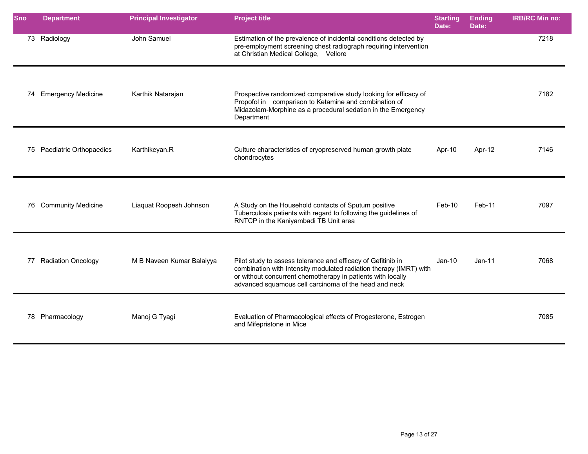| <b>Sno</b> | <b>Department</b>          | <b>Principal Investigator</b> | <b>Project title</b>                                                                                                                                                                                                                                       | <b>Starting</b><br>Date: | <b>Ending</b><br>Date: | <b>IRB/RC Min no:</b> |
|------------|----------------------------|-------------------------------|------------------------------------------------------------------------------------------------------------------------------------------------------------------------------------------------------------------------------------------------------------|--------------------------|------------------------|-----------------------|
|            | 73 Radiology               | John Samuel                   | Estimation of the prevalence of incidental conditions detected by<br>pre-employment screening chest radiograph requiring intervention<br>at Christian Medical College, Vellore                                                                             |                          |                        | 7218                  |
|            | 74 Emergency Medicine      | Karthik Natarajan             | Prospective randomized comparative study looking for efficacy of<br>Propofol in comparison to Ketamine and combination of<br>Midazolam-Morphine as a procedural sedation in the Emergency<br>Department                                                    |                          |                        | 7182                  |
|            | 75 Paediatric Orthopaedics | Karthikeyan.R                 | Culture characteristics of cryopreserved human growth plate<br>chondrocytes                                                                                                                                                                                | Apr-10                   | Apr-12                 | 7146                  |
|            | 76 Community Medicine      | Liaquat Roopesh Johnson       | A Study on the Household contacts of Sputum positive<br>Tuberculosis patients with regard to following the guidelines of<br>RNTCP in the Kaniyambadi TB Unit area                                                                                          | $Feb-10$                 | $Feb-11$               | 7097                  |
| 77         | <b>Radiation Oncology</b>  | M B Naveen Kumar Balaiyya     | Pilot study to assess tolerance and efficacy of Gefitinib in<br>combination with Intensity modulated radiation therapy (IMRT) with<br>or without concurrent chemotherapy in patients with locally<br>advanced squamous cell carcinoma of the head and neck | $Jan-10$                 | $Jan-11$               | 7068                  |
|            | 78 Pharmacology            | Manoj G Tyagi                 | Evaluation of Pharmacological effects of Progesterone, Estrogen<br>and Mifepristone in Mice                                                                                                                                                                |                          |                        | 7085                  |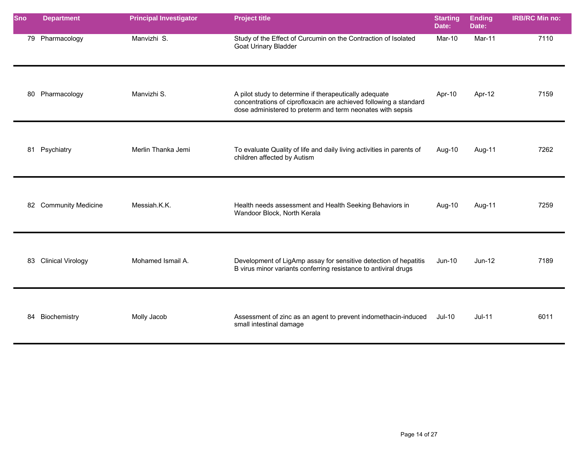| <b>Sno</b> | <b>Department</b>     | <b>Principal Investigator</b> | <b>Project title</b>                                                                                                                                                                      | <b>Starting</b><br>Date: | <b>Ending</b><br>Date: | <b>IRB/RC Min no:</b> |
|------------|-----------------------|-------------------------------|-------------------------------------------------------------------------------------------------------------------------------------------------------------------------------------------|--------------------------|------------------------|-----------------------|
|            | 79 Pharmacology       | Manvizhi S.                   | Study of the Effect of Curcumin on the Contraction of Isolated<br>Goat Urinary Bladder                                                                                                    | Mar-10                   | Mar-11                 | 7110                  |
|            | 80 Pharmacology       | Manvizhi S.                   | A pilot study to determine if therapeutically adequate<br>concentrations of ciprofloxacin are achieved following a standard<br>dose administered to preterm and term neonates with sepsis | Apr-10                   | Apr-12                 | 7159                  |
|            | 81 Psychiatry         | Merlin Thanka Jemi            | To evaluate Quality of life and daily living activities in parents of<br>children affected by Autism                                                                                      | Aug-10                   | Aug-11                 | 7262                  |
|            | 82 Community Medicine | Messiah.K.K.                  | Health needs assessment and Health Seeking Behaviors in<br>Wandoor Block, North Kerala                                                                                                    | Aug-10                   | Aug-11                 | 7259                  |
|            | 83 Clinical Virology  | Mohamed Ismail A.             | Development of LigAmp assay for sensitive detection of hepatitis<br>B virus minor variants conferring resistance to antiviral drugs                                                       | Jun-10                   | $Jun-12$               | 7189                  |
| 84         | Biochemistry          | Molly Jacob                   | Assessment of zinc as an agent to prevent indomethacin-induced<br>small intestinal damage                                                                                                 | <b>Jul-10</b>            | $Jul-11$               | 6011                  |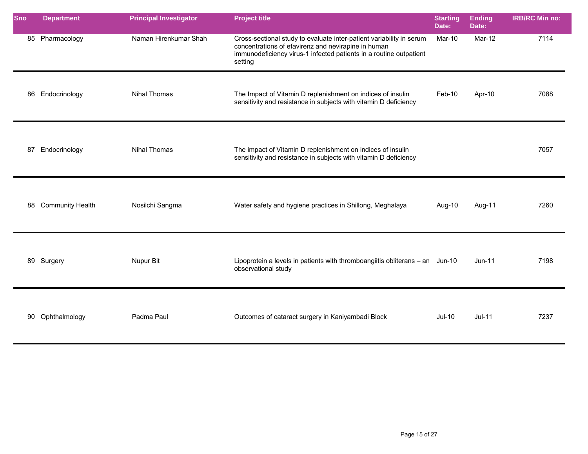| Sno | <b>Department</b>       | <b>Principal Investigator</b> | <b>Project title</b>                                                                                                                                                                                         | <b>Starting</b><br>Date: | <b>Ending</b><br>Date: | <b>IRB/RC Min no:</b> |
|-----|-------------------------|-------------------------------|--------------------------------------------------------------------------------------------------------------------------------------------------------------------------------------------------------------|--------------------------|------------------------|-----------------------|
|     | 85 Pharmacology         | Naman Hirenkumar Shah         | Cross-sectional study to evaluate inter-patient variability in serum<br>concentrations of efavirenz and nevirapine in human<br>immunodeficiency virus-1 infected patients in a routine outpatient<br>setting | Mar-10                   | Mar-12                 | 7114                  |
| 86  | Endocrinology           | <b>Nihal Thomas</b>           | The Impact of Vitamin D replenishment on indices of insulin<br>sensitivity and resistance in subjects with vitamin D deficiency                                                                              | Feb-10                   | Apr-10                 | 7088                  |
| 87  | Endocrinology           | Nihal Thomas                  | The impact of Vitamin D replenishment on indices of insulin<br>sensitivity and resistance in subjects with vitamin D deficiency                                                                              |                          |                        | 7057                  |
| 88  | <b>Community Health</b> | Nosilchi Sangma               | Water safety and hygiene practices in Shillong, Meghalaya                                                                                                                                                    | Aug-10                   | Aug-11                 | 7260                  |
|     | 89 Surgery              | Nupur Bit                     | Lipoprotein a levels in patients with thromboangiitis obliterans - an Jun-10<br>observational study                                                                                                          |                          | $Jun-11$               | 7198                  |
| 90  | Ophthalmology           | Padma Paul                    | Outcomes of cataract surgery in Kaniyambadi Block                                                                                                                                                            | <b>Jul-10</b>            | $Jul-11$               | 7237                  |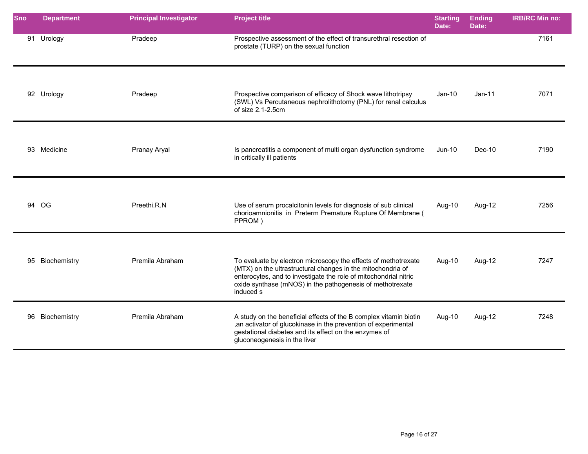| Sno | <b>Department</b> | <b>Principal Investigator</b> | <b>Project title</b>                                                                                                                                                                                                                                                        | <b>Starting</b><br>Date: | <b>Ending</b><br>Date: | <b>IRB/RC Min no:</b> |
|-----|-------------------|-------------------------------|-----------------------------------------------------------------------------------------------------------------------------------------------------------------------------------------------------------------------------------------------------------------------------|--------------------------|------------------------|-----------------------|
|     | 91 Urology        | Pradeep                       | Prospective assessment of the effect of transurethral resection of<br>prostate (TURP) on the sexual function                                                                                                                                                                |                          |                        | 7161                  |
|     | 92 Urology        | Pradeep                       | Prospective comparison of efficacy of Shock wave lithotripsy<br>(SWL) Vs Percutaneous nephrolithotomy (PNL) for renal calculus<br>of size 2.1-2.5cm                                                                                                                         | $Jan-10$                 | $Jan-11$               | 7071                  |
|     | 93 Medicine       | Pranay Aryal                  | Is pancreatitis a component of multi organ dysfunction syndrome<br>in critically ill patients                                                                                                                                                                               | Jun-10                   | Dec-10                 | 7190                  |
|     | 94 OG             | Preethi.R.N                   | Use of serum procalcitonin levels for diagnosis of sub clinical<br>chorioamnionitis in Preterm Premature Rupture Of Membrane (<br>PPROM)                                                                                                                                    | Aug-10                   | Aug-12                 | 7256                  |
|     | 95 Biochemistry   | Premila Abraham               | To evaluate by electron microscopy the effects of methotrexate<br>(MTX) on the ultrastructural changes in the mitochondria of<br>enterocytes, and to investigate the role of mitochondrial nitric<br>oxide synthase (mNOS) in the pathogenesis of methotrexate<br>induced s | Aug-10                   | Aug-12                 | 7247                  |
| 96  | Biochemistry      | Premila Abraham               | A study on the beneficial effects of the B complex vitamin biotin<br>, an activator of glucokinase in the prevention of experimental<br>gestational diabetes and its effect on the enzymes of<br>gluconeogenesis in the liver                                               | Aug-10                   | Aug-12                 | 7248                  |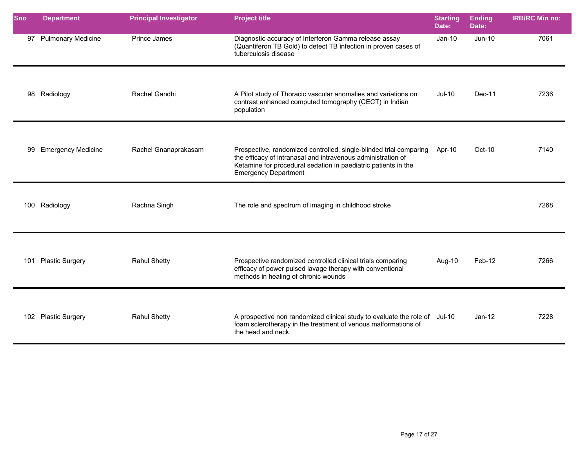| <b>Sno</b> | <b>Department</b>         | <b>Principal Investigator</b> | <b>Project title</b>                                                                                                                                                                                                                | <b>Starting</b><br>Date: | <b>Ending</b><br>Date: | <b>IRB/RC Min no:</b> |
|------------|---------------------------|-------------------------------|-------------------------------------------------------------------------------------------------------------------------------------------------------------------------------------------------------------------------------------|--------------------------|------------------------|-----------------------|
| 97         | <b>Pulmonary Medicine</b> | Prince James                  | Diagnostic accuracy of Interferon Gamma release assay<br>(Quantiferon TB Gold) to detect TB infection in proven cases of<br>tuberculosis disease                                                                                    | $Jan-10$                 | Jun-10                 | 7061                  |
|            | 98 Radiology              | Rachel Gandhi                 | A Pilot study of Thoracic vascular anomalies and variations on<br>contrast enhanced computed tomography (CECT) in Indian<br>population                                                                                              | Jul-10                   | Dec-11                 | 7236                  |
|            | 99 Emergency Medicine     | Rachel Gnanaprakasam          | Prospective, randomized controlled, single-blinded trial comparing<br>the efficacy of intranasal and intravenous administration of<br>Ketamine for procedural sedation in paediatric patients in the<br><b>Emergency Department</b> | Apr-10                   | Oct-10                 | 7140                  |
|            | 100 Radiology             | Rachna Singh                  | The role and spectrum of imaging in childhood stroke                                                                                                                                                                                |                          |                        | 7268                  |
| 101        | <b>Plastic Surgery</b>    | <b>Rahul Shetty</b>           | Prospective randomized controlled clinical trials comparing<br>efficacy of power pulsed lavage therapy with conventional<br>methods in healing of chronic wounds                                                                    | Aug-10                   | Feb-12                 | 7266                  |
|            | 102 Plastic Surgery       | <b>Rahul Shetty</b>           | A prospective non randomized clinical study to evaluate the role of Jul-10<br>foam sclerotherapy in the treatment of venous malformations of<br>the head and neck                                                                   |                          | $Jan-12$               | 7228                  |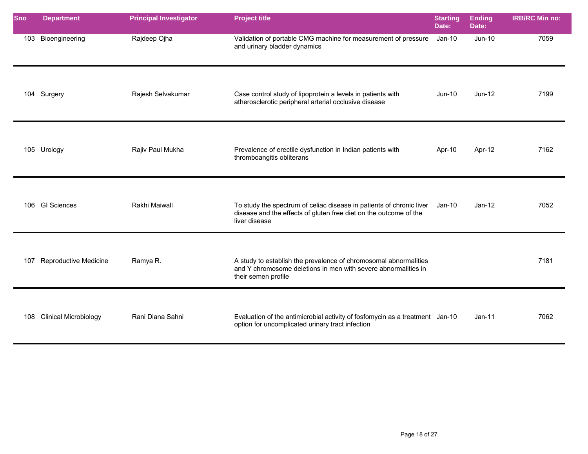| <b>Sno</b> | <b>Department</b>            | <b>Principal Investigator</b> | <b>Project title</b>                                                                                                                                              | <b>Starting</b><br>Date: | <b>Ending</b><br>Date: | <b>IRB/RC Min no:</b> |
|------------|------------------------------|-------------------------------|-------------------------------------------------------------------------------------------------------------------------------------------------------------------|--------------------------|------------------------|-----------------------|
| 103        | Bioengineering               | Rajdeep Ojha                  | Validation of portable CMG machine for measurement of pressure<br>and urinary bladder dynamics                                                                    | Jan-10                   | $Jun-10$               | 7059                  |
|            | 104 Surgery                  | Rajesh Selvakumar             | Case control study of lipoprotein a levels in patients with<br>atherosclerotic peripheral arterial occlusive disease                                              | $Jun-10$                 | Jun-12                 | 7199                  |
|            | 105 Urology                  | Rajiv Paul Mukha              | Prevalence of erectile dysfunction in Indian patients with<br>thromboangitis obliterans                                                                           | Apr-10                   | Apr-12                 | 7162                  |
| 106        | <b>GI Sciences</b>           | Rakhi Maiwall                 | To study the spectrum of celiac disease in patients of chronic liver Jan-10<br>disease and the effects of gluten free diet on the outcome of the<br>liver disease |                          | $Jan-12$               | 7052                  |
| 107        | Reproductive Medicine        | Ramya R.                      | A study to establish the prevalence of chromosomal abnormalities<br>and Y chromosome deletions in men with severe abnormalities in<br>their semen profile         |                          |                        | 7181                  |
| 108        | <b>Clinical Microbiology</b> | Rani Diana Sahni              | Evaluation of the antimicrobial activity of fosfomycin as a treatment Jan-10<br>option for uncomplicated urinary tract infection                                  |                          | $Jan-11$               | 7062                  |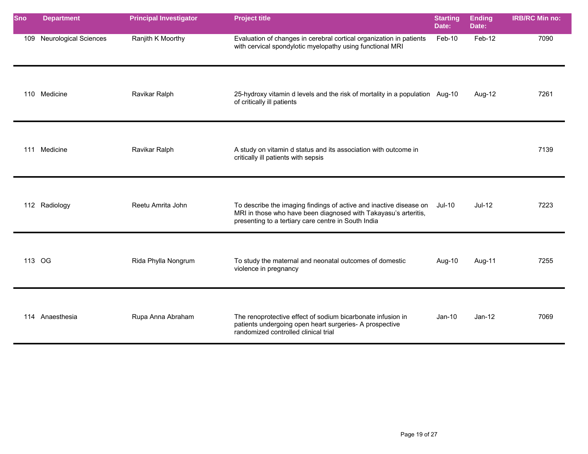| Sno    | <b>Department</b>            | <b>Principal Investigator</b> | <b>Project title</b>                                                                                                                                                                                | <b>Starting</b><br>Date: | <b>Ending</b><br>Date: | <b>IRB/RC Min no:</b> |
|--------|------------------------------|-------------------------------|-----------------------------------------------------------------------------------------------------------------------------------------------------------------------------------------------------|--------------------------|------------------------|-----------------------|
| 109    | <b>Neurological Sciences</b> | Ranjith K Moorthy             | Evaluation of changes in cerebral cortical organization in patients<br>with cervical spondylotic myelopathy using functional MRI                                                                    | Feb-10                   | Feb-12                 | 7090                  |
|        | 110 Medicine                 | Ravikar Ralph                 | 25-hydroxy vitamin d levels and the risk of mortality in a population Aug-10<br>of critically ill patients                                                                                          |                          | Aug-12                 | 7261                  |
|        | 111 Medicine                 | Ravikar Ralph                 | A study on vitamin d status and its association with outcome in<br>critically ill patients with sepsis                                                                                              |                          |                        | 7139                  |
|        | 112 Radiology                | Reetu Amrita John             | To describe the imaging findings of active and inactive disease on Jul-10<br>MRI in those who have been diagnosed with Takayasu's arteritis,<br>presenting to a tertiary care centre in South India |                          | $Jul-12$               | 7223                  |
| 113 OG |                              | Rida Phylla Nongrum           | To study the maternal and neonatal outcomes of domestic<br>violence in pregnancy                                                                                                                    | Aug-10                   | Aug-11                 | 7255                  |
|        | 114 Anaesthesia              | Rupa Anna Abraham             | The renoprotective effect of sodium bicarbonate infusion in<br>patients undergoing open heart surgeries- A prospective<br>randomized controlled clinical trial                                      | $Jan-10$                 | $Jan-12$               | 7069                  |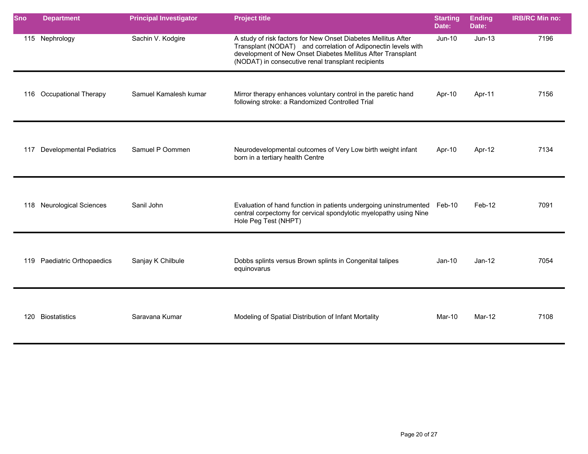| <b>Sno</b> | <b>Department</b>               | <b>Principal Investigator</b> | <b>Project title</b>                                                                                                                                                                                                                                | <b>Starting</b><br>Date: | <b>Ending</b><br>Date: | <b>IRB/RC Min no:</b> |
|------------|---------------------------------|-------------------------------|-----------------------------------------------------------------------------------------------------------------------------------------------------------------------------------------------------------------------------------------------------|--------------------------|------------------------|-----------------------|
|            | 115 Nephrology                  | Sachin V. Kodgire             | A study of risk factors for New Onset Diabetes Mellitus After<br>Transplant (NODAT) and correlation of Adiponectin levels with<br>development of New Onset Diabetes Mellitus After Transplant<br>(NODAT) in consecutive renal transplant recipients | <b>Jun-10</b>            | $Jun-13$               | 7196                  |
| 116        | <b>Occupational Therapy</b>     | Samuel Kamalesh kumar         | Mirror therapy enhances voluntary control in the paretic hand<br>following stroke: a Randomized Controlled Trial                                                                                                                                    | Apr-10                   | Apr-11                 | 7156                  |
| 117        | <b>Developmental Pediatrics</b> | Samuel P Oommen               | Neurodevelopmental outcomes of Very Low birth weight infant<br>born in a tertiary health Centre                                                                                                                                                     | Apr-10                   | Apr-12                 | 7134                  |
|            | 118 Neurological Sciences       | Sanil John                    | Evaluation of hand function in patients undergoing uninstrumented Feb-10<br>central corpectomy for cervical spondylotic myelopathy using Nine<br>Hole Peg Test (NHPT)                                                                               |                          | Feb-12                 | 7091                  |
|            | 119 Paediatric Orthopaedics     | Sanjay K Chilbule             | Dobbs splints versus Brown splints in Congenital talipes<br>equinovarus                                                                                                                                                                             | $Jan-10$                 | $Jan-12$               | 7054                  |
| 120        | <b>Biostatistics</b>            | Saravana Kumar                | Modeling of Spatial Distribution of Infant Mortality                                                                                                                                                                                                | Mar-10                   | Mar-12                 | 7108                  |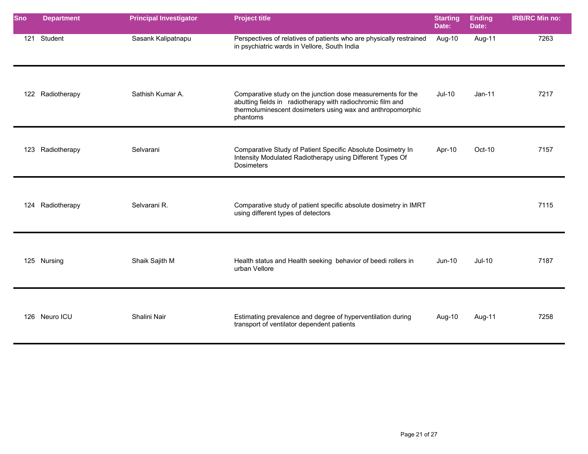| <b>Sno</b> | <b>Department</b> | <b>Principal Investigator</b> | <b>Project title</b>                                                                                                                                                                                | <b>Starting</b><br>Date: | <b>Ending</b><br>Date: | <b>IRB/RC Min no:</b> |
|------------|-------------------|-------------------------------|-----------------------------------------------------------------------------------------------------------------------------------------------------------------------------------------------------|--------------------------|------------------------|-----------------------|
| 121        | Student           | Sasank Kalipatnapu            | Perspectives of relatives of patients who are physically restrained<br>in psychiatric wards in Vellore, South India                                                                                 | Aug-10                   | Aug-11                 | 7263                  |
|            | 122 Radiotherapy  | Sathish Kumar A.              | Comparative study on the junction dose measurements for the<br>abutting fields in radiotherapy with radiochromic film and<br>thermoluminescent dosimeters using wax and anthropomorphic<br>phantoms | $Jul-10$                 | $Jan-11$               | 7217                  |
|            | 123 Radiotherapy  | Selvarani                     | Comparative Study of Patient Specific Absolute Dosimetry In<br>Intensity Modulated Radiotherapy using Different Types Of<br><b>Dosimeters</b>                                                       | Apr-10                   | Oct-10                 | 7157                  |
|            | 124 Radiotherapy  | Selvarani R.                  | Comparative study of patient specific absolute dosimetry in IMRT<br>using different types of detectors                                                                                              |                          |                        | 7115                  |
|            | 125 Nursing       | Shaik Sajith M                | Health status and Health seeking behavior of beedi rollers in<br>urban Vellore                                                                                                                      | Jun-10                   | $Jul-10$               | 7187                  |
|            | 126 Neuro ICU     | Shalini Nair                  | Estimating prevalence and degree of hyperventilation during<br>transport of ventilator dependent patients                                                                                           | Aug-10                   | Aug-11                 | 7258                  |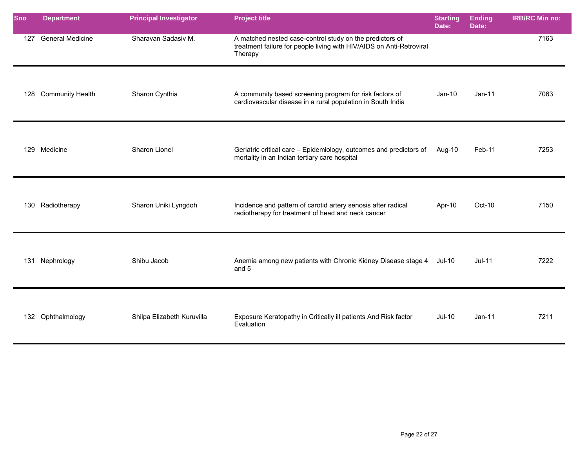| Sno | <b>Department</b>       | <b>Principal Investigator</b> | <b>Project title</b>                                                                                                                        | <b>Starting</b><br>Date: | <b>Ending</b><br>Date: | <b>IRB/RC Min no:</b> |
|-----|-------------------------|-------------------------------|---------------------------------------------------------------------------------------------------------------------------------------------|--------------------------|------------------------|-----------------------|
| 127 | <b>General Medicine</b> | Sharavan Sadasiv M.           | A matched nested case-control study on the predictors of<br>treatment failure for people living with HIV/AIDS on Anti-Retroviral<br>Therapy |                          |                        | 7163                  |
| 128 | <b>Community Health</b> | Sharon Cynthia                | A community based screening program for risk factors of<br>cardiovascular disease in a rural population in South India                      | $Jan-10$                 | $Jan-11$               | 7063                  |
|     | 129 Medicine            | Sharon Lionel                 | Geriatric critical care - Epidemiology, outcomes and predictors of<br>mortality in an Indian tertiary care hospital                         | Aug-10                   | Feb-11                 | 7253                  |
| 130 | Radiotherapy            | Sharon Uniki Lyngdoh          | Incidence and pattern of carotid artery senosis after radical<br>radiotherapy for treatment of head and neck cancer                         | Apr-10                   | Oct-10                 | 7150                  |
|     | 131 Nephrology          | Shibu Jacob                   | Anemia among new patients with Chronic Kidney Disease stage 4<br>and 5                                                                      | $Jul-10$                 | $Jul-11$               | 7222                  |
|     | 132 Ophthalmology       | Shilpa Elizabeth Kuruvilla    | Exposure Keratopathy in Critically ill patients And Risk factor<br>Evaluation                                                               | <b>Jul-10</b>            | $Jan-11$               | 7211                  |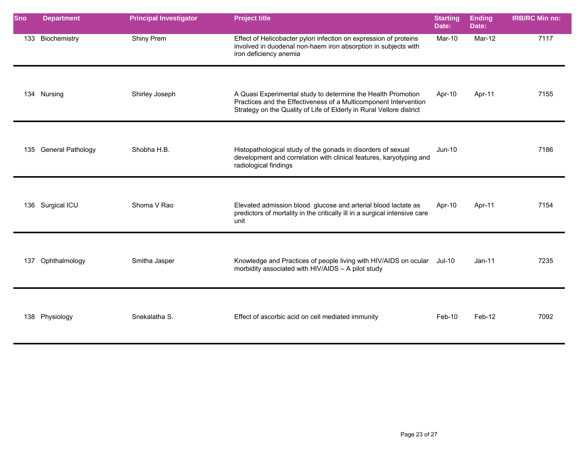| <b>Sno</b> | <b>Department</b>     | <b>Principal Investigator</b> | <b>Project title</b>                                                                                                                                                                                     | <b>Starting</b><br>Date: | <b>Ending</b><br>Date: | <b>IRB/RC Min no:</b> |
|------------|-----------------------|-------------------------------|----------------------------------------------------------------------------------------------------------------------------------------------------------------------------------------------------------|--------------------------|------------------------|-----------------------|
|            | 133 Biochemistry      | Shiny Prem                    | Effect of Helicobacter pylori infection on expression of proteins<br>involved in duodenal non-haem iron absorption in subjects with<br>iron deficiency anemia                                            | Mar-10                   | Mar-12                 | 7117                  |
|            | 134 Nursing           | Shirley Joseph                | A Quasi Experimental study to determine the Health Promotion<br>Practices and the Effectiveness of a Multicomponent Intervention<br>Strategy on the Quality of Life of Elderly in Rural Vellore district | Apr-10                   | Apr-11                 | 7155                  |
|            | 135 General Pathology | Shobha H.B.                   | Histopathological study of the gonads in disorders of sexual<br>development and correlation with clinical features, karyotyping and<br>radiological findings                                             | Jun-10                   |                        | 7186                  |
|            | 136 Surgical ICU      | Shoma V Rao                   | Elevated admission blood glucose and arterial blood lactate as<br>predictors of mortality in the critically ill in a surgical intensive care<br>unit                                                     | Apr-10                   | Apr-11                 | 7154                  |
| 137        | Ophthalmology         | Smitha Jasper                 | Knowledge and Practices of people living with HIV/AIDS on ocular<br>morbidity associated with HIV/AIDS - A pilot study                                                                                   | Jul-10                   | $Jan-11$               | 7235                  |
|            | 138 Physiology        | Snekalatha S.                 | Effect of ascorbic acid on cell mediated immunity                                                                                                                                                        | Feb-10                   | Feb-12                 | 7092                  |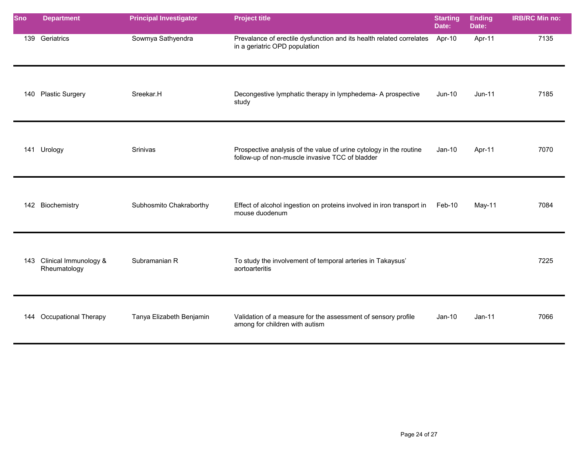| <b>Sno</b> | <b>Department</b>                         | <b>Principal Investigator</b> | <b>Project title</b>                                                                                                  | <b>Starting</b><br>Date: | <b>Ending</b><br>Date: | <b>IRB/RC Min no:</b> |
|------------|-------------------------------------------|-------------------------------|-----------------------------------------------------------------------------------------------------------------------|--------------------------|------------------------|-----------------------|
|            | 139 Geriatrics                            | Sowmya Sathyendra             | Prevalance of erectile dysfunction and its health related correlates Apr-10<br>in a geriatric OPD population          |                          | Apr-11                 | 7135                  |
|            | 140 Plastic Surgery                       | Sreekar.H                     | Decongestive lymphatic therapy in lymphedema- A prospective<br>study                                                  | Jun-10                   | $Jun-11$               | 7185                  |
|            | 141 Urology                               | Srinivas                      | Prospective analysis of the value of urine cytology in the routine<br>follow-up of non-muscle invasive TCC of bladder | $Jan-10$                 | Apr-11                 | 7070                  |
|            | 142 Biochemistry                          | Subhosmito Chakraborthy       | Effect of alcohol ingestion on proteins involved in iron transport in<br>mouse duodenum                               | Feb-10                   | $May-11$               | 7084                  |
|            | 143 Clinical Immunology &<br>Rheumatology | Subramanian R                 | To study the involvement of temporal arteries in Takaysus'<br>aortoarteritis                                          |                          |                        | 7225                  |
|            | 144 Occupational Therapy                  | Tanya Elizabeth Benjamin      | Validation of a measure for the assessment of sensory profile<br>among for children with autism                       | $Jan-10$                 | $Jan-11$               | 7066                  |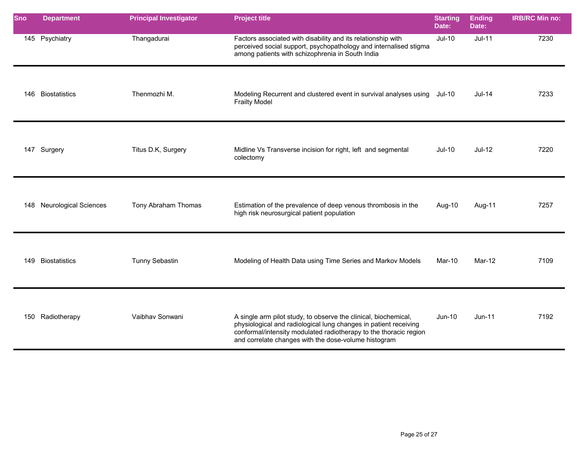| <b>Sno</b> | <b>Department</b>            | <b>Principal Investigator</b> | <b>Project title</b>                                                                                                                                                                                                                                             | <b>Starting</b><br>Date: | <b>Ending</b><br>Date: | <b>IRB/RC Min no:</b> |
|------------|------------------------------|-------------------------------|------------------------------------------------------------------------------------------------------------------------------------------------------------------------------------------------------------------------------------------------------------------|--------------------------|------------------------|-----------------------|
|            | 145 Psychiatry               | Thangadurai                   | Factors associated with disability and its relationship with<br>perceived social support, psychopathology and internalised stigma<br>among patients with schizophrenia in South India                                                                            | <b>Jul-10</b>            | $Jul-11$               | 7230                  |
| 146        | <b>Biostatistics</b>         | Thenmozhi M.                  | Modeling Recurrent and clustered event in survival analyses using Jul-10<br><b>Frailty Model</b>                                                                                                                                                                 |                          | <b>Jul-14</b>          | 7233                  |
|            | 147 Surgery                  | Titus D.K, Surgery            | Midline Vs Transverse incision for right, left and segmental<br>colectomy                                                                                                                                                                                        | Jul-10                   | $Jul-12$               | 7220                  |
| 148        | <b>Neurological Sciences</b> | Tony Abraham Thomas           | Estimation of the prevalence of deep venous thrombosis in the<br>high risk neurosurgical patient population                                                                                                                                                      | Aug-10                   | Aug-11                 | 7257                  |
| 149        | <b>Biostatistics</b>         | <b>Tunny Sebastin</b>         | Modeling of Health Data using Time Series and Markov Models                                                                                                                                                                                                      | Mar-10                   | Mar-12                 | 7109                  |
| 150        | Radiotherapy                 | Vaibhav Sonwani               | A single arm pilot study, to observe the clinical, biochemical,<br>physiological and radiological lung changes in patient receiving<br>conformal/intensity modulated radiotherapy to the thoracic region<br>and correlate changes with the dose-volume histogram | Jun-10                   | $Jun-11$               | 7192                  |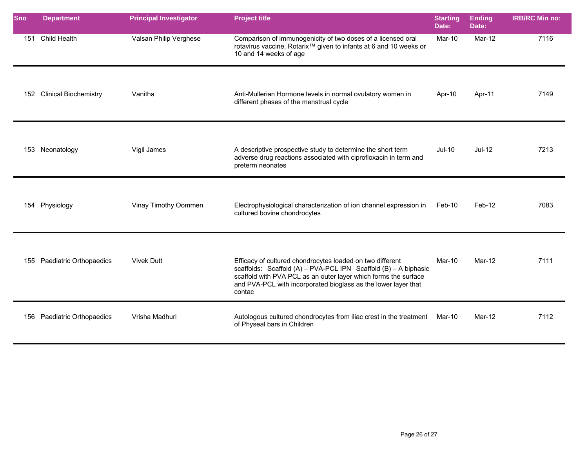| Sno | <b>Department</b>            | <b>Principal Investigator</b> | <b>Project title</b>                                                                                                                                                                                                                                                        | <b>Starting</b><br>Date: | <b>Ending</b><br>Date: | <b>IRB/RC Min no:</b> |
|-----|------------------------------|-------------------------------|-----------------------------------------------------------------------------------------------------------------------------------------------------------------------------------------------------------------------------------------------------------------------------|--------------------------|------------------------|-----------------------|
| 151 | Child Health                 | Valsan Philip Verghese        | Comparison of immunogenicity of two doses of a licensed oral<br>rotavirus vaccine, Rotarix <sup>™</sup> given to infants at 6 and 10 weeks or<br>10 and 14 weeks of age                                                                                                     | Mar-10                   | $Mar-12$               | 7116                  |
| 152 | <b>Clinical Biochemistry</b> | Vanitha                       | Anti-Mullerian Hormone levels in normal ovulatory women in<br>different phases of the menstrual cycle                                                                                                                                                                       | Apr-10                   | Apr-11                 | 7149                  |
| 153 | Neonatology                  | Vigil James                   | A descriptive prospective study to determine the short term<br>adverse drug reactions associated with ciprofloxacin in term and<br>preterm neonates                                                                                                                         | <b>Jul-10</b>            | $Jul-12$               | 7213                  |
|     | 154 Physiology               | Vinay Timothy Oommen          | Electrophysiological characterization of ion channel expression in<br>cultured bovine chondrocytes                                                                                                                                                                          | Feb-10                   | Feb-12                 | 7083                  |
|     | 155 Paediatric Orthopaedics  | <b>Vivek Dutt</b>             | Efficacy of cultured chondrocytes loaded on two different<br>scaffolds: Scaffold (A) - PVA-PCL IPN Scaffold (B) - A biphasic<br>scaffold with PVA PCL as an outer layer which forms the surface<br>and PVA-PCL with incorporated bioglass as the lower layer that<br>contac | $Mar-10$                 | Mar-12                 | 7111                  |
| 156 | Paediatric Orthopaedics      | Vrisha Madhuri                | Autologous cultured chondrocytes from iliac crest in the treatment<br>of Physeal bars in Children                                                                                                                                                                           | Mar-10                   | Mar-12                 | 7112                  |